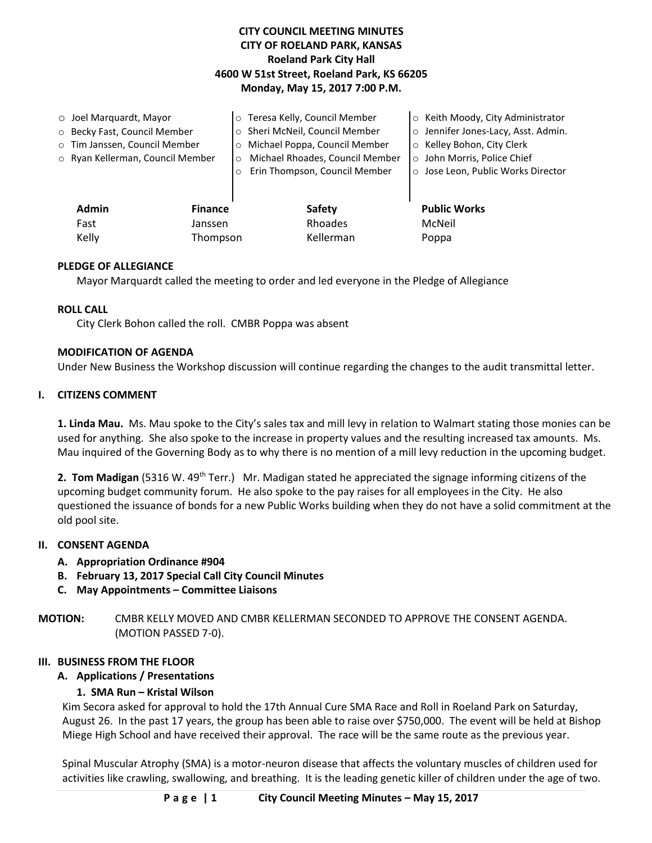# **CITY COUNCIL MEETING MINUTES CITY OF ROELAND PARK, KANSAS Roeland Park City Hall 4600 W 51st Street, Roeland Park, KS 66205 Monday, May 15, 2017 7:00 P.M.**

|                                | $\circ$ Joel Marquardt, Mayor    |         | o Teresa Kelly, Council Member           |  | o Keith Moody, City Administrator   |
|--------------------------------|----------------------------------|---------|------------------------------------------|--|-------------------------------------|
|                                | O Becky Fast, Council Member     |         | o Sheri McNeil, Council Member           |  | o Jennifer Jones-Lacy, Asst. Admin. |
|                                | o Tim Janssen, Council Member    |         | Michael Poppa, Council Member<br>$\circ$ |  | ○ Kelley Bohon, City Clerk          |
|                                | ○ Ryan Kellerman, Council Member |         | Michael Rhoades, Council Member          |  | o John Morris, Police Chief         |
|                                |                                  | $\circ$ | Erin Thompson, Council Member            |  | o Jose Leon, Public Works Director  |
|                                |                                  |         |                                          |  |                                     |
| <b>Admin</b><br><b>Finance</b> |                                  |         | Safety                                   |  | <b>Public Works</b>                 |
|                                | Fast<br>Janssen                  |         | Rhoades                                  |  | McNeil                              |
| Kelly<br>Thompson              |                                  |         | Kellerman                                |  | Poppa                               |
|                                |                                  |         |                                          |  |                                     |

## **PLEDGE OF ALLEGIANCE**

Mayor Marquardt called the meeting to order and led everyone in the Pledge of Allegiance

#### **ROLL CALL**

City Clerk Bohon called the roll. CMBR Poppa was absent

#### **MODIFICATION OF AGENDA**

Under New Business the Workshop discussion will continue regarding the changes to the audit transmittal letter.

#### **I. CITIZENS COMMENT**

**1. Linda Mau.** Ms. Mau spoke to the City's sales tax and mill levy in relation to Walmart stating those monies can be used for anything. She also spoke to the increase in property values and the resulting increased tax amounts. Ms. Mau inquired of the Governing Body as to why there is no mention of a mill levy reduction in the upcoming budget.

**2. Tom Madigan** (5316 W. 49<sup>th</sup> Terr.) Mr. Madigan stated he appreciated the signage informing citizens of the upcoming budget community forum. He also spoke to the pay raises for all employees in the City. He also questioned the issuance of bonds for a new Public Works building when they do not have a solid commitment at the old pool site.

#### **II. CONSENT AGENDA**

- **A. Appropriation Ordinance #904**
- **B. February 13, 2017 Special Call City Council Minutes**
- **C. May Appointments – Committee Liaisons**

**MOTION:** CMBR KELLY MOVED AND CMBR KELLERMAN SECONDED TO APPROVE THE CONSENT AGENDA. (MOTION PASSED 7-0).

#### **III. BUSINESS FROM THE FLOOR**

## **A. Applications / Presentations**

#### **1. SMA Run – Kristal Wilson**

Kim Secora asked for approval to hold the 17th Annual Cure SMA Race and Roll in Roeland Park on Saturday, August 26. In the past 17 years, the group has been able to raise over \$750,000. The event will be held at Bishop Miege High School and have received their approval. The race will be the same route as the previous year.

Spinal Muscular Atrophy (SMA) is a motor-neuron disease that affects the voluntary muscles of children used for activities like crawling, swallowing, and breathing. It is the leading genetic killer of children under the age of two.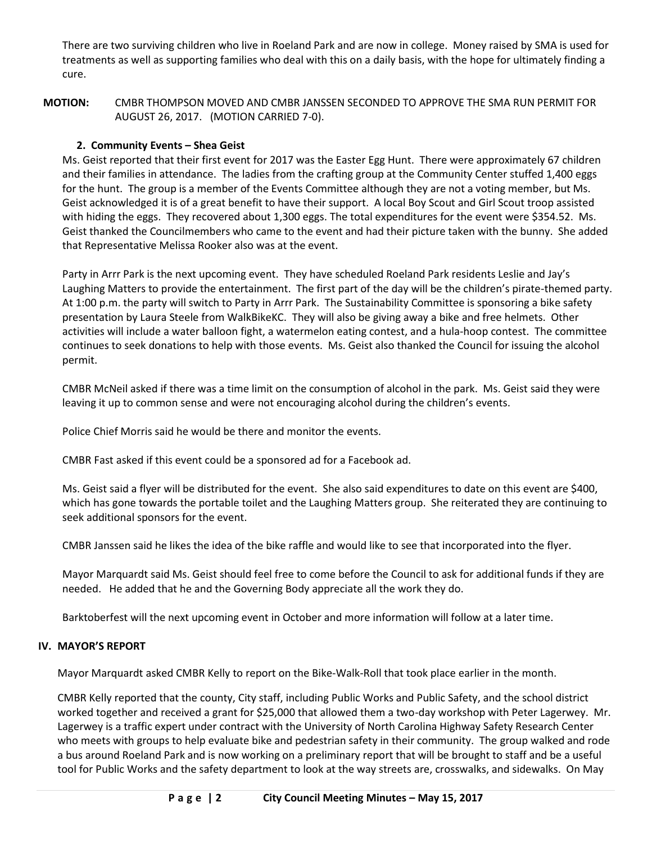There are two surviving children who live in Roeland Park and are now in college. Money raised by SMA is used for treatments as well as supporting families who deal with this on a daily basis, with the hope for ultimately finding a cure.

**MOTION:** CMBR THOMPSON MOVED AND CMBR JANSSEN SECONDED TO APPROVE THE SMA RUN PERMIT FOR AUGUST 26, 2017. (MOTION CARRIED 7-0).

# **2. Community Events – Shea Geist**

Ms. Geist reported that their first event for 2017 was the Easter Egg Hunt. There were approximately 67 children and their families in attendance. The ladies from the crafting group at the Community Center stuffed 1,400 eggs for the hunt. The group is a member of the Events Committee although they are not a voting member, but Ms. Geist acknowledged it is of a great benefit to have their support. A local Boy Scout and Girl Scout troop assisted with hiding the eggs. They recovered about 1,300 eggs. The total expenditures for the event were \$354.52. Ms. Geist thanked the Councilmembers who came to the event and had their picture taken with the bunny. She added that Representative Melissa Rooker also was at the event.

Party in Arrr Park is the next upcoming event. They have scheduled Roeland Park residents Leslie and Jay's Laughing Matters to provide the entertainment. The first part of the day will be the children's pirate-themed party. At 1:00 p.m. the party will switch to Party in Arrr Park. The Sustainability Committee is sponsoring a bike safety presentation by Laura Steele from WalkBikeKC. They will also be giving away a bike and free helmets. Other activities will include a water balloon fight, a watermelon eating contest, and a hula-hoop contest. The committee continues to seek donations to help with those events. Ms. Geist also thanked the Council for issuing the alcohol permit.

CMBR McNeil asked if there was a time limit on the consumption of alcohol in the park. Ms. Geist said they were leaving it up to common sense and were not encouraging alcohol during the children's events.

Police Chief Morris said he would be there and monitor the events.

CMBR Fast asked if this event could be a sponsored ad for a Facebook ad.

Ms. Geist said a flyer will be distributed for the event. She also said expenditures to date on this event are \$400, which has gone towards the portable toilet and the Laughing Matters group. She reiterated they are continuing to seek additional sponsors for the event.

CMBR Janssen said he likes the idea of the bike raffle and would like to see that incorporated into the flyer.

Mayor Marquardt said Ms. Geist should feel free to come before the Council to ask for additional funds if they are needed. He added that he and the Governing Body appreciate all the work they do.

Barktoberfest will the next upcoming event in October and more information will follow at a later time.

## **IV. MAYOR'S REPORT**

Mayor Marquardt asked CMBR Kelly to report on the Bike-Walk-Roll that took place earlier in the month.

CMBR Kelly reported that the county, City staff, including Public Works and Public Safety, and the school district worked together and received a grant for \$25,000 that allowed them a two-day workshop with Peter Lagerwey. Mr. Lagerwey is a traffic expert under contract with the University of North Carolina Highway Safety Research Center who meets with groups to help evaluate bike and pedestrian safety in their community. The group walked and rode a bus around Roeland Park and is now working on a preliminary report that will be brought to staff and be a useful tool for Public Works and the safety department to look at the way streets are, crosswalks, and sidewalks. On May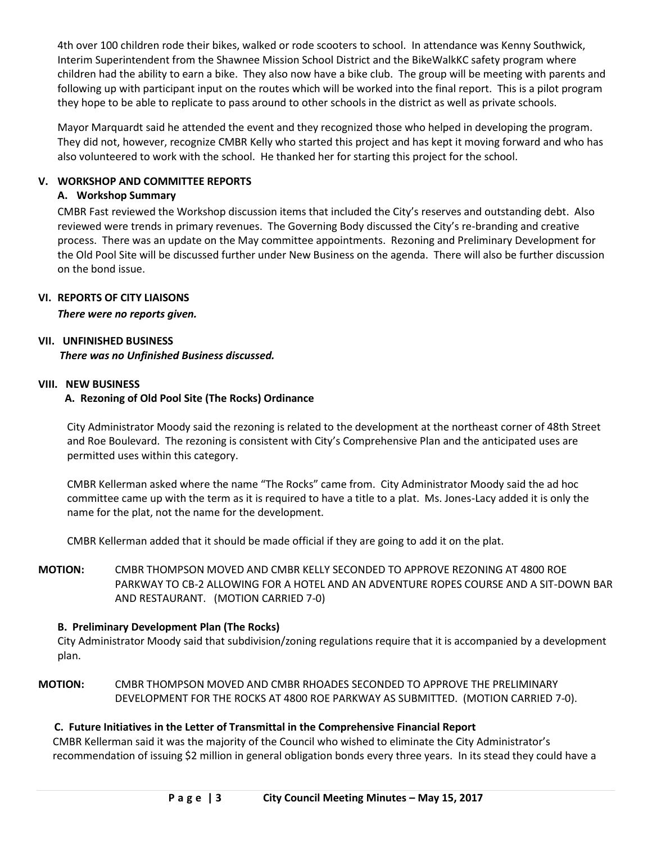4th over 100 children rode their bikes, walked or rode scooters to school. In attendance was Kenny Southwick, Interim Superintendent from the Shawnee Mission School District and the BikeWalkKC safety program where children had the ability to earn a bike. They also now have a bike club. The group will be meeting with parents and following up with participant input on the routes which will be worked into the final report. This is a pilot program they hope to be able to replicate to pass around to other schools in the district as well as private schools.

Mayor Marquardt said he attended the event and they recognized those who helped in developing the program. They did not, however, recognize CMBR Kelly who started this project and has kept it moving forward and who has also volunteered to work with the school. He thanked her for starting this project for the school.

## **V. WORKSHOP AND COMMITTEE REPORTS**

### **A. Workshop Summary**

CMBR Fast reviewed the Workshop discussion items that included the City's reserves and outstanding debt. Also reviewed were trends in primary revenues. The Governing Body discussed the City's re-branding and creative process. There was an update on the May committee appointments. Rezoning and Preliminary Development for the Old Pool Site will be discussed further under New Business on the agenda. There will also be further discussion on the bond issue.

## **VI. REPORTS OF CITY LIAISONS**

*There were no reports given.* 

#### **VII. UNFINISHED BUSINESS**

*There was no Unfinished Business discussed.*

#### **VIII. NEW BUSINESS**

## **A. Rezoning of Old Pool Site (The Rocks) Ordinance**

City Administrator Moody said the rezoning is related to the development at the northeast corner of 48th Street and Roe Boulevard. The rezoning is consistent with City's Comprehensive Plan and the anticipated uses are permitted uses within this category.

CMBR Kellerman asked where the name "The Rocks" came from. City Administrator Moody said the ad hoc committee came up with the term as it is required to have a title to a plat. Ms. Jones-Lacy added it is only the name for the plat, not the name for the development.

CMBR Kellerman added that it should be made official if they are going to add it on the plat.

**MOTION:** CMBR THOMPSON MOVED AND CMBR KELLY SECONDED TO APPROVE REZONING AT 4800 ROE PARKWAY TO CB-2 ALLOWING FOR A HOTEL AND AN ADVENTURE ROPES COURSE AND A SIT-DOWN BAR AND RESTAURANT. (MOTION CARRIED 7-0)

## **B. Preliminary Development Plan (The Rocks)**

City Administrator Moody said that subdivision/zoning regulations require that it is accompanied by a development plan.

**MOTION:** CMBR THOMPSON MOVED AND CMBR RHOADES SECONDED TO APPROVE THE PRELIMINARY DEVELOPMENT FOR THE ROCKS AT 4800 ROE PARKWAY AS SUBMITTED. (MOTION CARRIED 7-0).

## **C. Future Initiatives in the Letter of Transmittal in the Comprehensive Financial Report**

CMBR Kellerman said it was the majority of the Council who wished to eliminate the City Administrator's recommendation of issuing \$2 million in general obligation bonds every three years. In its stead they could have a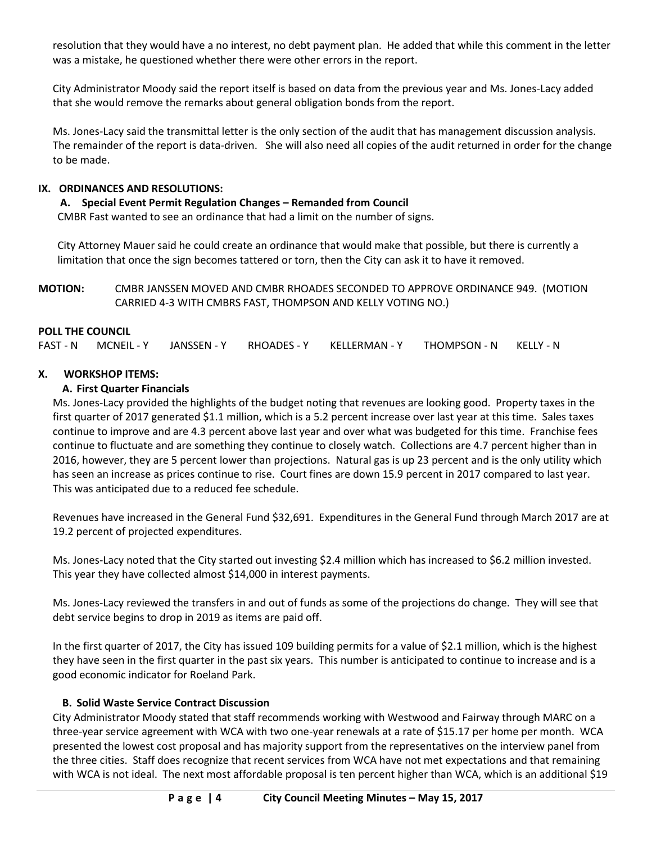resolution that they would have a no interest, no debt payment plan. He added that while this comment in the letter was a mistake, he questioned whether there were other errors in the report.

City Administrator Moody said the report itself is based on data from the previous year and Ms. Jones-Lacy added that she would remove the remarks about general obligation bonds from the report.

Ms. Jones-Lacy said the transmittal letter is the only section of the audit that has management discussion analysis. The remainder of the report is data-driven. She will also need all copies of the audit returned in order for the change to be made.

### **IX. ORDINANCES AND RESOLUTIONS:**

**A. Special Event Permit Regulation Changes – Remanded from Council**

CMBR Fast wanted to see an ordinance that had a limit on the number of signs.

City Attorney Mauer said he could create an ordinance that would make that possible, but there is currently a limitation that once the sign becomes tattered or torn, then the City can ask it to have it removed.

**MOTION:** CMBR JANSSEN MOVED AND CMBR RHOADES SECONDED TO APPROVE ORDINANCE 949. (MOTION CARRIED 4-3 WITH CMBRS FAST, THOMPSON AND KELLY VOTING NO.)

## **POLL THE COUNCIL**

FAST - N MCNEIL - Y JANSSEN - Y RHOADES - Y KELLERMAN - Y THOMPSON - N KELLY - N

## **X. WORKSHOP ITEMS:**

## **A. First Quarter Financials**

Ms. Jones-Lacy provided the highlights of the budget noting that revenues are looking good. Property taxes in the first quarter of 2017 generated \$1.1 million, which is a 5.2 percent increase over last year at this time. Sales taxes continue to improve and are 4.3 percent above last year and over what was budgeted for this time. Franchise fees continue to fluctuate and are something they continue to closely watch. Collections are 4.7 percent higher than in 2016, however, they are 5 percent lower than projections. Natural gas is up 23 percent and is the only utility which has seen an increase as prices continue to rise. Court fines are down 15.9 percent in 2017 compared to last year. This was anticipated due to a reduced fee schedule.

Revenues have increased in the General Fund \$32,691. Expenditures in the General Fund through March 2017 are at 19.2 percent of projected expenditures.

Ms. Jones-Lacy noted that the City started out investing \$2.4 million which has increased to \$6.2 million invested. This year they have collected almost \$14,000 in interest payments.

Ms. Jones-Lacy reviewed the transfers in and out of funds as some of the projections do change. They will see that debt service begins to drop in 2019 as items are paid off.

In the first quarter of 2017, the City has issued 109 building permits for a value of \$2.1 million, which is the highest they have seen in the first quarter in the past six years. This number is anticipated to continue to increase and is a good economic indicator for Roeland Park.

#### **B. Solid Waste Service Contract Discussion**

City Administrator Moody stated that staff recommends working with Westwood and Fairway through MARC on a three-year service agreement with WCA with two one-year renewals at a rate of \$15.17 per home per month. WCA presented the lowest cost proposal and has majority support from the representatives on the interview panel from the three cities. Staff does recognize that recent services from WCA have not met expectations and that remaining with WCA is not ideal. The next most affordable proposal is ten percent higher than WCA, which is an additional \$19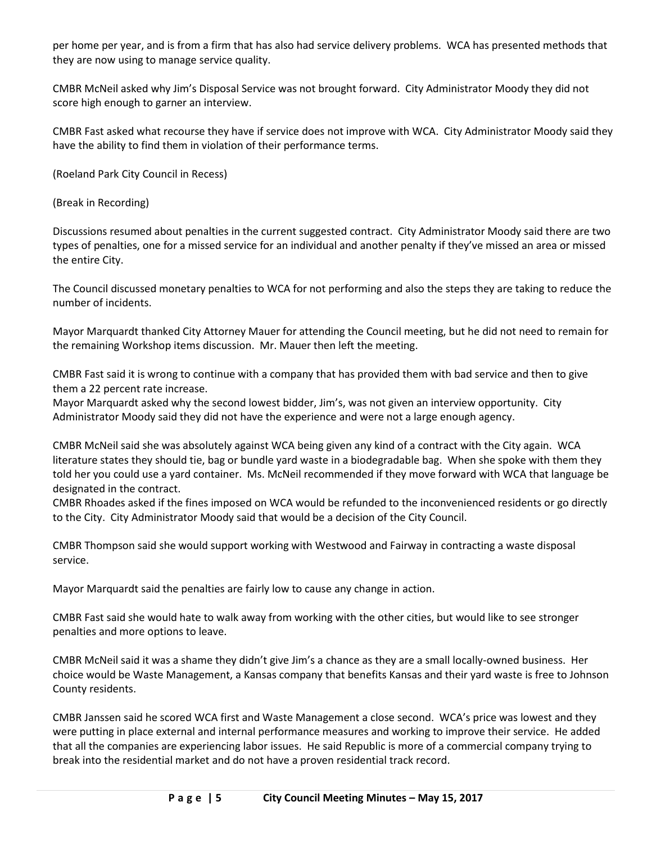per home per year, and is from a firm that has also had service delivery problems. WCA has presented methods that they are now using to manage service quality.

CMBR McNeil asked why Jim's Disposal Service was not brought forward. City Administrator Moody they did not score high enough to garner an interview.

CMBR Fast asked what recourse they have if service does not improve with WCA. City Administrator Moody said they have the ability to find them in violation of their performance terms.

(Roeland Park City Council in Recess)

(Break in Recording)

Discussions resumed about penalties in the current suggested contract. City Administrator Moody said there are two types of penalties, one for a missed service for an individual and another penalty if they've missed an area or missed the entire City.

The Council discussed monetary penalties to WCA for not performing and also the steps they are taking to reduce the number of incidents.

Mayor Marquardt thanked City Attorney Mauer for attending the Council meeting, but he did not need to remain for the remaining Workshop items discussion. Mr. Mauer then left the meeting.

CMBR Fast said it is wrong to continue with a company that has provided them with bad service and then to give them a 22 percent rate increase.

Mayor Marquardt asked why the second lowest bidder, Jim's, was not given an interview opportunity. City Administrator Moody said they did not have the experience and were not a large enough agency.

CMBR McNeil said she was absolutely against WCA being given any kind of a contract with the City again. WCA literature states they should tie, bag or bundle yard waste in a biodegradable bag. When she spoke with them they told her you could use a yard container. Ms. McNeil recommended if they move forward with WCA that language be designated in the contract.

CMBR Rhoades asked if the fines imposed on WCA would be refunded to the inconvenienced residents or go directly to the City. City Administrator Moody said that would be a decision of the City Council.

CMBR Thompson said she would support working with Westwood and Fairway in contracting a waste disposal service.

Mayor Marquardt said the penalties are fairly low to cause any change in action.

CMBR Fast said she would hate to walk away from working with the other cities, but would like to see stronger penalties and more options to leave.

CMBR McNeil said it was a shame they didn't give Jim's a chance as they are a small locally-owned business. Her choice would be Waste Management, a Kansas company that benefits Kansas and their yard waste is free to Johnson County residents.

CMBR Janssen said he scored WCA first and Waste Management a close second. WCA's price was lowest and they were putting in place external and internal performance measures and working to improve their service. He added that all the companies are experiencing labor issues. He said Republic is more of a commercial company trying to break into the residential market and do not have a proven residential track record.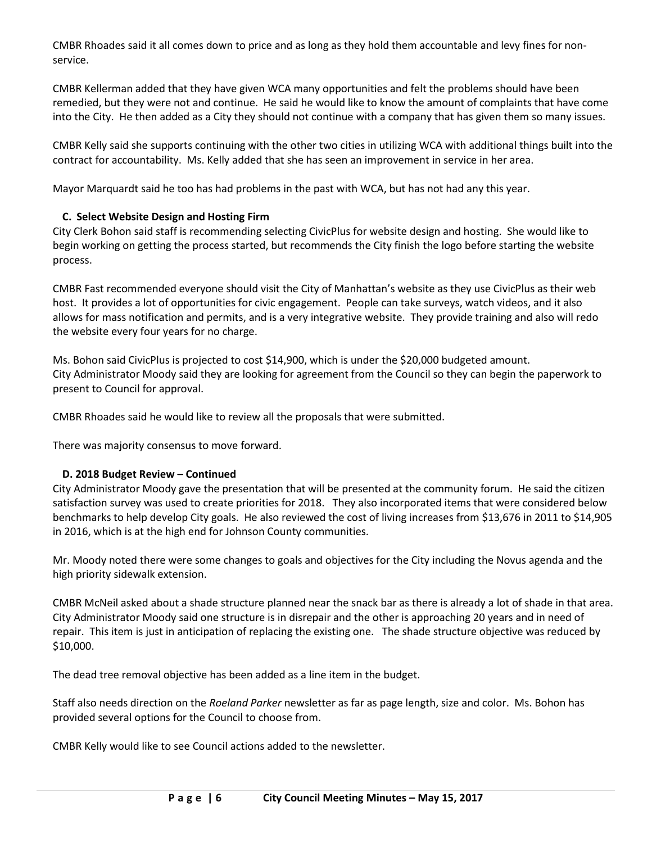CMBR Rhoades said it all comes down to price and as long as they hold them accountable and levy fines for nonservice.

CMBR Kellerman added that they have given WCA many opportunities and felt the problems should have been remedied, but they were not and continue. He said he would like to know the amount of complaints that have come into the City. He then added as a City they should not continue with a company that has given them so many issues.

CMBR Kelly said she supports continuing with the other two cities in utilizing WCA with additional things built into the contract for accountability. Ms. Kelly added that she has seen an improvement in service in her area.

Mayor Marquardt said he too has had problems in the past with WCA, but has not had any this year.

# **C. Select Website Design and Hosting Firm**

City Clerk Bohon said staff is recommending selecting CivicPlus for website design and hosting. She would like to begin working on getting the process started, but recommends the City finish the logo before starting the website process.

CMBR Fast recommended everyone should visit the City of Manhattan's website as they use CivicPlus as their web host. It provides a lot of opportunities for civic engagement. People can take surveys, watch videos, and it also allows for mass notification and permits, and is a very integrative website. They provide training and also will redo the website every four years for no charge.

Ms. Bohon said CivicPlus is projected to cost \$14,900, which is under the \$20,000 budgeted amount. City Administrator Moody said they are looking for agreement from the Council so they can begin the paperwork to present to Council for approval.

CMBR Rhoades said he would like to review all the proposals that were submitted.

There was majority consensus to move forward.

## **D. 2018 Budget Review – Continued**

City Administrator Moody gave the presentation that will be presented at the community forum. He said the citizen satisfaction survey was used to create priorities for 2018. They also incorporated items that were considered below benchmarks to help develop City goals. He also reviewed the cost of living increases from \$13,676 in 2011 to \$14,905 in 2016, which is at the high end for Johnson County communities.

Mr. Moody noted there were some changes to goals and objectives for the City including the Novus agenda and the high priority sidewalk extension.

CMBR McNeil asked about a shade structure planned near the snack bar as there is already a lot of shade in that area. City Administrator Moody said one structure is in disrepair and the other is approaching 20 years and in need of repair. This item is just in anticipation of replacing the existing one. The shade structure objective was reduced by \$10,000.

The dead tree removal objective has been added as a line item in the budget.

Staff also needs direction on the *Roeland Parker* newsletter as far as page length, size and color. Ms. Bohon has provided several options for the Council to choose from.

CMBR Kelly would like to see Council actions added to the newsletter.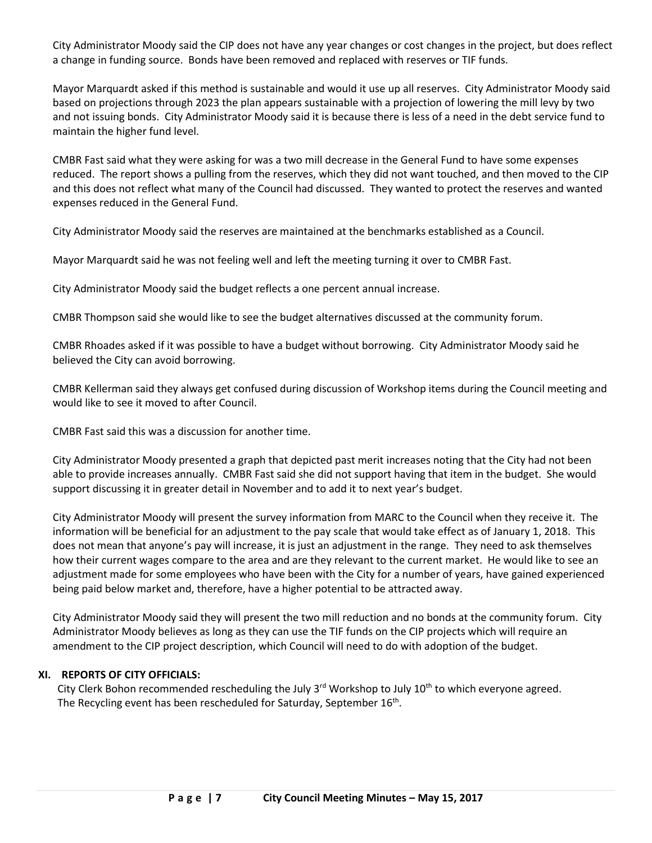City Administrator Moody said the CIP does not have any year changes or cost changes in the project, but does reflect a change in funding source. Bonds have been removed and replaced with reserves or TIF funds.

Mayor Marquardt asked if this method is sustainable and would it use up all reserves. City Administrator Moody said based on projections through 2023 the plan appears sustainable with a projection of lowering the mill levy by two and not issuing bonds. City Administrator Moody said it is because there is less of a need in the debt service fund to maintain the higher fund level.

CMBR Fast said what they were asking for was a two mill decrease in the General Fund to have some expenses reduced. The report shows a pulling from the reserves, which they did not want touched, and then moved to the CIP and this does not reflect what many of the Council had discussed. They wanted to protect the reserves and wanted expenses reduced in the General Fund.

City Administrator Moody said the reserves are maintained at the benchmarks established as a Council.

Mayor Marquardt said he was not feeling well and left the meeting turning it over to CMBR Fast.

City Administrator Moody said the budget reflects a one percent annual increase.

CMBR Thompson said she would like to see the budget alternatives discussed at the community forum.

CMBR Rhoades asked if it was possible to have a budget without borrowing. City Administrator Moody said he believed the City can avoid borrowing.

CMBR Kellerman said they always get confused during discussion of Workshop items during the Council meeting and would like to see it moved to after Council.

CMBR Fast said this was a discussion for another time.

City Administrator Moody presented a graph that depicted past merit increases noting that the City had not been able to provide increases annually. CMBR Fast said she did not support having that item in the budget. She would support discussing it in greater detail in November and to add it to next year's budget.

City Administrator Moody will present the survey information from MARC to the Council when they receive it. The information will be beneficial for an adjustment to the pay scale that would take effect as of January 1, 2018. This does not mean that anyone's pay will increase, it is just an adjustment in the range. They need to ask themselves how their current wages compare to the area and are they relevant to the current market. He would like to see an adjustment made for some employees who have been with the City for a number of years, have gained experienced being paid below market and, therefore, have a higher potential to be attracted away.

City Administrator Moody said they will present the two mill reduction and no bonds at the community forum. City Administrator Moody believes as long as they can use the TIF funds on the CIP projects which will require an amendment to the CIP project description, which Council will need to do with adoption of the budget.

#### **XI. REPORTS OF CITY OFFICIALS:**

City Clerk Bohon recommended rescheduling the July  $3<sup>rd</sup>$  Workshop to July  $10<sup>th</sup>$  to which everyone agreed. The Recycling event has been rescheduled for Saturday, September 16<sup>th</sup>.